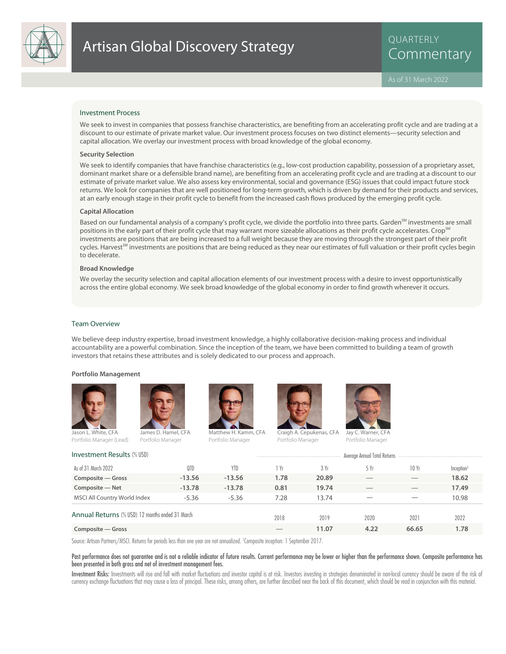

QUARTERLY

#### Investment Process

We seek to invest in companies that possess franchise characteristics, are benefiting from an accelerating profit cycle and are trading at a discount to our estimate of private market value. Our investment process focuses on two distinct elements—security selection and capital allocation. We overlay our investment process with broad knowledge of the global economy.

#### **Security Selection**

We seek to identify companies that have franchise characteristics (e.g., low-cost production capability, possession of a proprietary asset, dominant market share or a defensible brand name), are benefiting from an accelerating profit cycle and are trading at a discount to our estimate of private market value. We also assess key environmental, social and governance (ESG) issues that could impact future stock returns. We look for companies that are well positioned for long-term growth, which is driven by demand for their products and services, at an early enough stage in their profit cycle to benefit from the increased cash flows produced by the emerging profit cycle.

#### **Capital Allocation**

Based on our fundamental analysis of a company's profit cycle, we divide the portfolio into three parts. Garden<sup>SM</sup> investments are small positions in the early part of their profit cycle that may warrant more sizeable allocations as their profit cycle accelerates. Crop<sup>5M</sup> investments are positions that are being increased to a full weight because they are moving through the strongest part of their profit cycles. Harvest<sup>SM</sup> investments are positions that are being reduced as they near our estimates of full valuation or their profit cycles begin to decelerate.

#### **Broad Knowledge**

We overlay the security selection and capital allocation elements of our investment process with a desire to invest opportunistically across the entire global economy. We seek broad knowledge of the global economy in order to find growth wherever it occurs.

#### Team Overview

We believe deep industry expertise, broad investment knowledge, a highly collaborative decision-making process and individual accountability are a powerful combination. Since the inception of the team, we have been committed to building a team of growth investors that retains these attributes and is solely dedicated to our process and approach.

#### **Portfolio Management**





Portfolio Manager

son L. White, CFA Portfolio Manager (Lead)



Matthew H. Kamm, CFA



Craigh A. Cepukenas, CFA Portfolio Manager



Jay C. Warner, CFA Portfolio Manager

| <b>Investment Results (% USD)</b>               |          | Average Annual Total Returns |      |       |      |       |                        |  |
|-------------------------------------------------|----------|------------------------------|------|-------|------|-------|------------------------|--|
| As of 31 March 2022                             | 0TD      | <b>YTD</b>                   | 1 Yr | 3 Yr  | 5 Yr | 10Yr  | Inception <sup>1</sup> |  |
| Composite – Gross                               | $-13.56$ | $-13.56$                     | 1.78 | 20.89 |      |       | 18.62                  |  |
| Composite - Net                                 | $-13.78$ | $-13.78$                     | 0.81 | 19.74 |      |       | 17.49                  |  |
| MSCI All Country World Index                    | $-5.36$  | $-5.36$                      | 7.28 | 13.74 |      |       | 10.98                  |  |
| Annual Returns (% USD) 12 months ended 31 March |          |                              | 2018 | 2019  | 2020 | 2021  | 2022                   |  |
| Composite – Gross                               |          |                              |      | 11.07 | 4.22 | 66.65 | 1.78                   |  |

Source: Artisan Partners/MSCI. Returns for periods less than one year are not annualized. <sup>1</sup> Composite inception: 1 September 2017.

#### Past performance does not guarantee and is not a reliable indicator of future results. Current performance may be lower or higher than the performance shown. Composite performance has been presented in both gross and net of investment management fees.

Investment Risks: Investments will rise and fall with market fluctuations and investor capital is at risk. Investors investing in strategies denominated in non-local currency should be aware of the risk of currency exchange fluctuations that may cause a loss of principal. These risks, among others, are further described near the back of this document, which should be read in conjunction with this material.

Portfolio Manager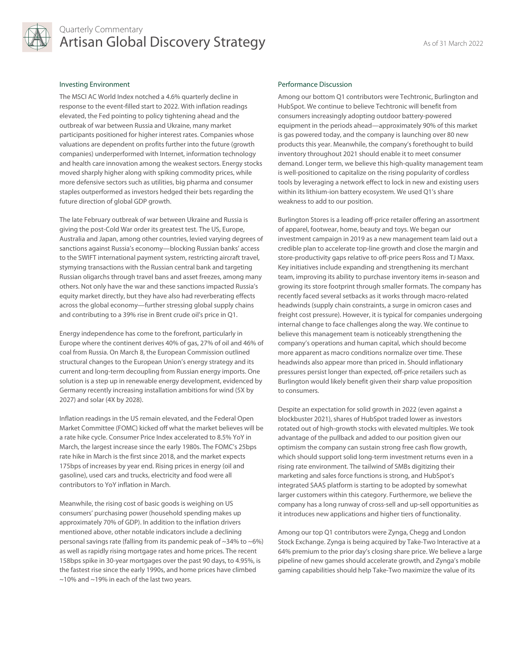

# Quarterly Commentary Artisan Global Discovery Strategy Artisan As of 31 March 2022

### Investing Environment

The MSCI AC World Index notched a 4.6% quarterly decline in response to the event-filled start to 2022. With inflation readings elevated, the Fed pointing to policy tightening ahead and the outbreak of war between Russia and Ukraine, many market participants positioned for higher interest rates. Companies whose valuations are dependent on profits further into the future (growth companies) underperformed with Internet, information technology and health care innovation among the weakest sectors. Energy stocks moved sharply higher along with spiking commodity prices, while more defensive sectors such as utilities, big pharma and consumer staples outperformed as investors hedged their bets regarding the future direction of global GDP growth.

The late February outbreak of war between Ukraine and Russia is giving the post-Cold War order its greatest test. The US, Europe, Australia and Japan, among other countries, levied varying degrees of sanctions against Russia's economy—blocking Russian banks' access to the SWIFT international payment system, restricting aircraft travel, stymying transactions with the Russian central bank and targeting Russian oligarchs through travel bans and asset freezes, among many others. Not only have the war and these sanctions impacted Russia's equity market directly, but they have also had reverberating effects across the global economy—further stressing global supply chains and contributing to a 39% rise in Brent crude oil's price in Q1.

Energy independence has come to the forefront, particularly in Europe where the continent derives 40% of gas, 27% of oil and 46% of coal from Russia. On March 8, the European Commission outlined structural changes to the European Union's energy strategy and its current and long-term decoupling from Russian energy imports. One solution is a step up in renewable energy development, evidenced by Germany recently increasing installation ambitions for wind (5X by 2027) and solar (4X by 2028).

Inflation readings in the US remain elevated, and the Federal Open Market Committee (FOMC) kicked off what the market believes will be a rate hike cycle. Consumer Price Index accelerated to 8.5% YoY in March, the largest increase since the early 1980s. The FOMC's 25bps rate hike in March is the first since 2018, and the market expects 175bps of increases by year end. Rising prices in energy (oil and gasoline), used cars and trucks, electricity and food were all contributors to YoY inflation in March.

Meanwhile, the rising cost of basic goods is weighing on US consumers' purchasing power (household spending makes up approximately 70% of GDP). In addition to the inflation drivers mentioned above, other notable indicators include a declining personal savings rate (falling from its pandemic peak of ~34% to ~6%) as well as rapidly rising mortgage rates and home prices. The recent 158bps spike in 30-year mortgages over the past 90 days, to 4.95%, is the fastest rise since the early 1990s, and home prices have climbed ~10% and ~19% in each of the last two years.

## Performance Discussion

Among our bottom Q1 contributors were Techtronic, Burlington and HubSpot. We continue to believe Techtronic will benefit from consumers increasingly adopting outdoor battery-powered equipment in the periods ahead—approximately 90% of this market is gas powered today, and the company is launching over 80 new products this year. Meanwhile, the company's forethought to build inventory throughout 2021 should enable it to meet consumer demand. Longer term, we believe this high-quality management team is well-positioned to capitalize on the rising popularity of cordless tools by leveraging a network effect to lock in new and existing users within its lithium-ion battery ecosystem. We used Q1's share weakness to add to our position.

Burlington Stores is a leading off-price retailer offering an assortment of apparel, footwear, home, beauty and toys. We began our investment campaign in 2019 as a new management team laid out a credible plan to accelerate top-line growth and close the margin and store-productivity gaps relative to off-price peers Ross and TJ Maxx. Key initiatives include expanding and strengthening its merchant team, improving its ability to purchase inventory items in-season and growing its store footprint through smaller formats. The company has recently faced several setbacks as it works through macro-related headwinds (supply chain constraints, a surge in omicron cases and freight cost pressure). However, it is typical for companies undergoing internal change to face challenges along the way. We continue to believe this management team is noticeably strengthening the company's operations and human capital, which should become more apparent as macro conditions normalize over time. These headwinds also appear more than priced in. Should inflationary pressures persist longer than expected, off-price retailers such as Burlington would likely benefit given their sharp value proposition to consumers.

Despite an expectation for solid growth in 2022 (even against a blockbuster 2021), shares of HubSpot traded lower as investors rotated out of high-growth stocks with elevated multiples. We took advantage of the pullback and added to our position given our optimism the company can sustain strong free cash flow growth, which should support solid long-term investment returns even in a rising rate environment. The tailwind of SMBs digitizing their marketing and sales force functions is strong, and HubSpot's integrated SAAS platform is starting to be adopted by somewhat larger customers within this category. Furthermore, we believe the company has a long runway of cross-sell and up-sell opportunities as it introduces new applications and higher tiers of functionality.

Among our top Q1 contributors were Zynga, Chegg and London Stock Exchange. Zynga is being acquired by Take-Two Interactive at a 64% premium to the prior day's closing share price. We believe a large pipeline of new games should accelerate growth, and Zynga's mobile gaming capabilities should help Take-Two maximize the value of its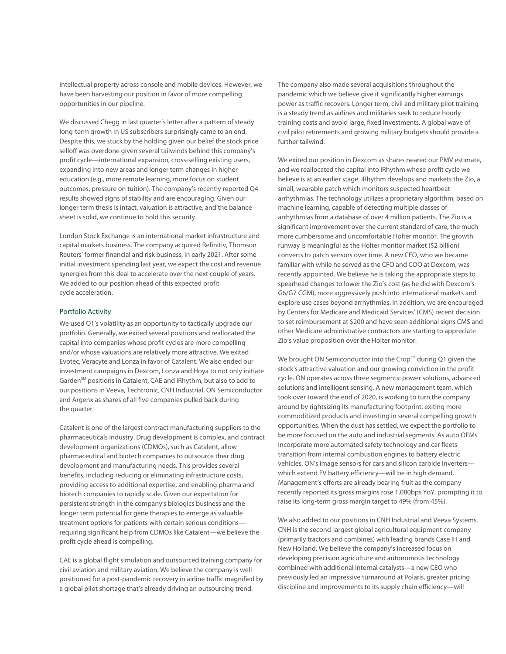intellectual property across console and mobile devices. However, we have been harvesting our position in favor of more compelling opportunities in our pipeline.

We discussed Chegg in last quarter's letter after a pattern of steady long-term growth in US subscribers surprisingly came to an end. Despite this, we stuck by the holding given our belief the stock price selloff was overdone given several tailwinds behind this company's profit cycle—international expansion, cross-selling existing users, expanding into new areas and longer term changes in higher education (e.g., more remote learning, more focus on student outcomes, pressure on tuition). The company's recently reported Q4 results showed signs of stability and are encouraging. Given our longer term thesis is intact, valuation is attractive, and the balance sheet is solid, we continue to hold this security.

London Stock Exchange is an international market infrastructure and capital markets business. The company acquired Refinitiv, Thomson Reuters' former financial and risk business, in early 2021. After some initial investment spending last year, we expect the cost and revenue synergies from this deal to accelerate over the next couple of years. We added to our position ahead of this expected profit cycle acceleration.

#### Portfolio Activity

We used Q1's volatility as an opportunity to tactically upgrade our portfolio. Generally, we exited several positions and reallocated the capital into companies whose profit cycles are more compelling and/or whose valuations are relatively more attractive. We exited Evotec, Veracyte and Lonza in favor of Catalent. We also ended our investment campaigns in Dexcom, Lonza and Hoya to not only initiate Garden<sup>SM</sup> positions in Catalent, CAE and iRhythm, but also to add to our positions in Veeva, Techtronic, CNH Industrial, ON Semiconductor and Argenx as shares of all five companies pulled back during the quarter.

Catalent is one of the largest contract manufacturing suppliers to the pharmaceuticals industry. Drug development is complex, and contract development organizations (CDMOs), such as Catalent, allow pharmaceutical and biotech companies to outsource their drug development and manufacturing needs. This provides several benefits, including reducing or eliminating infrastructure costs, providing access to additional expertise, and enabling pharma and biotech companies to rapidly scale. Given our expectation for persistent strength in the company's biologics business and the longer term potential for gene therapies to emerge as valuable treatment options for patients with certain serious conditions requiring significant help from CDMOs like Catalent—we believe the profit cycle ahead is compelling.

CAE is a global flight simulation and outsourced training company for civil aviation and military aviation. We believe the company is wellpositioned for a post-pandemic recovery in airline traffic magnified by a global pilot shortage that's already driving an outsourcing trend.

The company also made several acquisitions throughout the pandemic which we believe give it significantly higher earnings power as traffic recovers. Longer term, civil and military pilot training is a steady trend as airlines and militaries seek to reduce hourly training costs and avoid large, fixed investments. A global wave of civil pilot retirements and growing military budgets should provide a further tailwind.

We exited our position in Dexcom as shares neared our PMV estimate, and we reallocated the capital into iRhythm whose profit cycle we believe is at an earlier stage. iRhythm develops and markets the Zio, a small, wearable patch which monitors suspected heartbeat arrhythmias. The technology utilizes a proprietary algorithm, based on machine learning, capable of detecting multiple classes of arrhythmias from a database of over 4 million patients. The Zio is a significant improvement over the current standard of care, the much more cumbersome and uncomfortable Holter monitor. The growth runway is meaningful as the Holter monitor market (\$2 billion) converts to patch sensors over time. A new CEO, who we became familiar with while he served as the CFO and COO at Dexcom, was recently appointed. We believe he is taking the appropriate steps to spearhead changes to lower the Zio's cost (as he did with Dexcom's G6/G7 CGM), more aggressively push into international markets and explore use cases beyond arrhythmias. In addition, we are encouraged by Centers for Medicare and Medicaid Services' (CMS) recent decision to set reimbursement at \$200 and have seen additional signs CMS and other Medicare administrative contractors are starting to appreciate Zio's value proposition over the Holter monitor.

We brought ON Semiconductor into the Crop<sup>SM</sup> during Q1 given the stock's attractive valuation and our growing conviction in the profit cycle. ON operates across three segments: power solutions, advanced solutions and intelligent sensing. A new management team, which took over toward the end of 2020, is working to turn the company around by rightsizing its manufacturing footprint, exiting more commoditized products and investing in several compelling growth opportunities. When the dust has settled, we expect the portfolio to be more focused on the auto and industrial segments. As auto OEMs incorporate more automated safety technology and car fleets transition from internal combustion engines to battery electric vehicles, ON's image sensors for cars and silicon carbide inverters which extend EV battery efficiency—will be in high demand. Management's efforts are already bearing fruit as the company recently reported its gross margins rose 1,080bps YoY, prompting it to raise its long-term gross margin target to 49% (from 45%).

We also added to our positions in CNH Industrial and Veeva Systems. CNH is the second-largest global agricultural equipment company (primarily tractors and combines) with leading brands Case IH and New Holland. We believe the company's increased focus on developing precision agriculture and autonomous technology combined with additional internal catalysts—a new CEO who previously led an impressive turnaround at Polaris, greater pricing discipline and improvements to its supply chain efficiency—will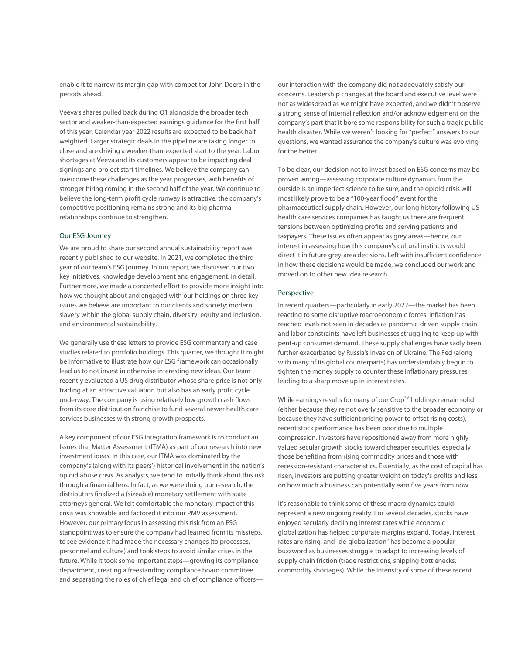enable it to narrow its margin gap with competitor John Deere in the periods ahead.

Veeva's shares pulled back during Q1 alongside the broader tech sector and weaker-than-expected earnings guidance for the first half of this year. Calendar year 2022 results are expected to be back-half weighted. Larger strategic deals in the pipeline are taking longer to close and are driving a weaker-than-expected start to the year. Labor shortages at Veeva and its customers appear to be impacting deal signings and project start timelines. We believe the company can overcome these challenges as the year progresses, with benefits of stronger hiring coming in the second half of the year. We continue to believe the long-term profit cycle runway is attractive, the company's competitive positioning remains strong and its big pharma relationships continue to strengthen.

## Our ESG Journey

We are proud to share our second annual sustainability report was recently published to our website. In 2021, we completed the third year of our team's ESG journey. In our report, we discussed our two key initiatives, knowledge development and engagement, in detail. Furthermore, we made a concerted effort to provide more insight into how we thought about and engaged with our holdings on three key issues we believe are important to our clients and society: modern slavery within the global supply chain, diversity, equity and inclusion, and environmental sustainability.

We generally use these letters to provide ESG commentary and case studies related to portfolio holdings. This quarter, we thought it might be informative to illustrate how our ESG framework can occasionally lead us to not invest in otherwise interesting new ideas. Our team recently evaluated a US drug distributor whose share price is not only trading at an attractive valuation but also has an early profit cycle underway. The company is using relatively low-growth cash flows from its core distribution franchise to fund several newer health care services businesses with strong growth prospects.

A key component of our ESG integration framework is to conduct an Issues that Matter Assessment (ITMA) as part of our research into new investment ideas. In this case, our ITMA was dominated by the company's (along with its peers') historical involvement in the nation's opioid abuse crisis. As analysts, we tend to initially think about this risk through a financial lens. In fact, as we were doing our research, the distributors finalized a (sizeable) monetary settlement with state attorneys general. We felt comfortable the monetary impact of this crisis was knowable and factored it into our PMV assessment. However, our primary focus in assessing this risk from an ESG standpoint was to ensure the company had learned from its missteps, to see evidence it had made the necessary changes (to processes, personnel and culture) and took steps to avoid similar crises in the future. While it took some important steps—growing its compliance department, creating a freestanding compliance board committee and separating the roles of chief legal and chief compliance officersour interaction with the company did not adequately satisfy our concerns. Leadership changes at the board and executive level were not as widespread as we might have expected, and we didn't observe a strong sense of internal reflection and/or acknowledgement on the company's part that it bore some responsibility for such a tragic public health disaster. While we weren't looking for "perfect" answers to our questions, we wanted assurance the company's culture was evolving for the better.

To be clear, our decision not to invest based on ESG concerns may be proven wrong—assessing corporate culture dynamics from the outside is an imperfect science to be sure, and the opioid crisis will most likely prove to be a "100-year flood" event for the pharmaceutical supply chain. However, our long history following US health care services companies has taught us there are frequent tensions between optimizing profits and serving patients and taxpayers. These issues often appear as grey areas—hence, our interest in assessing how this company's cultural instincts would direct it in future grey-area decisions. Left with insufficient confidence in how these decisions would be made, we concluded our work and moved on to other new idea research.

#### Perspective

In recent quarters—particularly in early 2022—the market has been reacting to some disruptive macroeconomic forces. Inflation has reached levels not seen in decades as pandemic-driven supply chain and labor constraints have left businesses struggling to keep up with pent-up consumer demand. These supply challenges have sadly been further exacerbated by Russia's invasion of Ukraine. The Fed (along with many of its global counterparts) has understandably begun to tighten the money supply to counter these inflationary pressures, leading to a sharp move up in interest rates.

While earnings results for many of our Crop<sup>SM</sup> holdings remain solid (either because they're not overly sensitive to the broader economy or because they have sufficient pricing power to offset rising costs), recent stock performance has been poor due to multiple compression. Investors have repositioned away from more highly valued secular growth stocks toward cheaper securities, especially those benefiting from rising commodity prices and those with recession-resistant characteristics. Essentially, as the cost of capital has risen, investors are putting greater weight on today's profits and less on how much a business can potentially earn five years from now.

It's reasonable to think some of these macro dynamics could represent a new ongoing reality. For several decades, stocks have enjoyed secularly declining interest rates while economic globalization has helped corporate margins expand. Today, interest rates are rising, and "de-globalization" has become a popular buzzword as businesses struggle to adapt to increasing levels of supply chain friction (trade restrictions, shipping bottlenecks, commodity shortages). While the intensity of some of these recent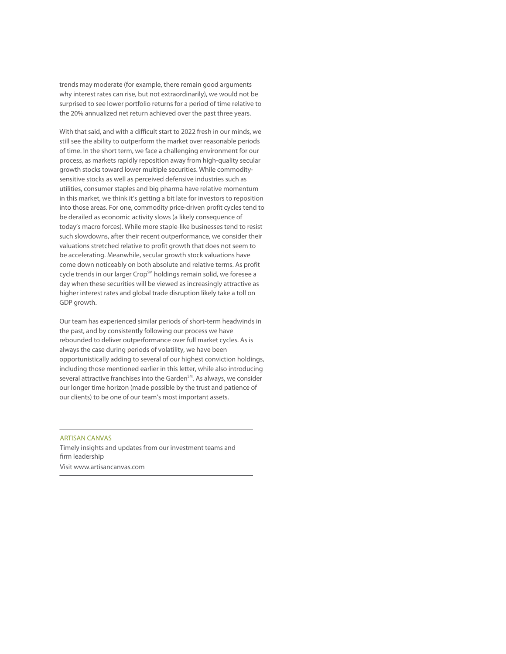trends may moderate (for example, there remain good arguments why interest rates can rise, but not extraordinarily), we would not be surprised to see lower portfolio returns for a period of time relative to the 20% annualized net return achieved over the past three years.

With that said, and with a difficult start to 2022 fresh in our minds, we still see the ability to outperform the market over reasonable periods of time. In the short term, we face a challenging environment for our process, as markets rapidly reposition away from high-quality secular growth stocks toward lower multiple securities. While commoditysensitive stocks as well as perceived defensive industries such as utilities, consumer staples and big pharma have relative momentum in this market, we think it's getting a bit late for investors to reposition into those areas. For one, commodity price-driven profit cycles tend to be derailed as economic activity slows (a likely consequence of today's macro forces). While more staple-like businesses tend to resist such slowdowns, after their recent outperformance, we consider their valuations stretched relative to profit growth that does not seem to be accelerating. Meanwhile, secular growth stock valuations have come down noticeably on both absolute and relative terms. As profit cycle trends in our larger Crop<sup>SM</sup> holdings remain solid, we foresee a day when these securities will be viewed as increasingly attractive as higher interest rates and global trade disruption likely take a toll on GDP growth.

Our team has experienced similar periods of short-term headwinds in the past, and by consistently following our process we have rebounded to deliver outperformance over full market cycles. As is always the case during periods of volatility, we have been opportunistically adding to several of our highest conviction holdings, including those mentioned earlier in this letter, while also introducing several attractive franchises into the Garden<sup>SM</sup>. As always, we consider our longer time horizon (made possible by the trust and patience of our clients) to be one of our team's most important assets.

## ARTISAN CANVAS

Timely insights and updates from our investment teams and firm leadership Visit www.artisancanvas.com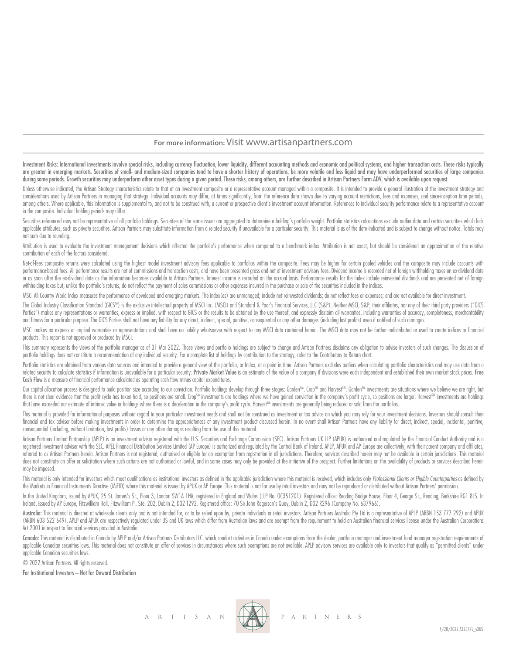# **For more information:** Visit www.artisanpartners.com

Investment Risks: International investments involve special risks, including currency fluctuation, lower liquidity, different accounting methods and economic and political systems, and higher transaction costs. These risks are greater in emerging markets. Securities of small- and medium-sized companies tend to have a shorter history of operations, be more volatile and less liquid and may have underperformed securities of large companies during some periods. Growth securities may underperform other asset types during a given period. These risks, among others, are further described in Artisan Partners Form ADV, which is available upon request.

Unless otherwise indicated, the Artisan Strategy characteristics relate to that of an investment composite or a representative account managed within a composite. It is intended to provide a general illustration of the inv considerations used by Artisan Partners in managing that strategy. Individual accounts may differ, at times significantly, from the reference data shown due to varying account restrictions, fees and expenses, and since inc among others. Where applicable, this information is supplemental to, and not to be construed with, a current or prospective client's investment account information. References to individual security performance relate to a in the composite. Individual holding periods may differ.

Securities referenced may not be representative of all portfolio holdings. Securities of the same issuer are aggregated to determine a holding's portfolio weight. Portfolio statistics calculations exclude outlier data and applicable attributes, such as private securities. Artisan Partners may substitute information from a related security if unavailable for a particular security. This material is as of the date indicated and is subject to c not sum due to rounding.

Attribution is used to evaluate the investment management decisions which affected the portfolio's performance when compared to a benchmark index. Attribution is not exact, but should be considered an approximation of the contribution of each of the factors considered.

Net-of-fees composite returns were calculated using the highest model investment advisory fees applicable to portfolios within the composite. Fees may be higher for certain pooled vehicles and the composite may include acc performance based fees. All performance results are net of commissions and transaction costs, and have been presented aross and net of investment advisory fees. Dividend income is recorded net of foreian withholding taxes or as soon after the ex-dividend date as the information becomes available to Artisan Partners. Interest income is recorded on the accrual basis. Performance results for the Index include reinvested dividends and are prese withholding taxes but, unlike the portfolio's returns, do not reflect the payment of sales commissions or other expenses incurred in the purchase or sale of the securities included in the indices.

MSCI All Country World Index measures the performance of developed and emerging markets. The index(es) are unmanaged; include net reinvested dividends; do not reflect fees or expenses; and are not available for direct inve

The Global Industry Classification Standard (GICS®) is the exclusive intellectual property of MSCI Inc. (MSCI) and Standard & Poor's Financial Services, LLC (S&P). Neither MSCI, S&P, their affiliates, nor any of their thir Parties") makes any representations or warranties, express or implied, with respect to GICS or the results to be obtained by the use thereof, and expressly disclaim all warranties, including warranties of accuracy, complet and fitness for a particular purpose. The GICS Parties shall not have any liability for any direct, indirect, special, punitive, consequential or any other damages (including lost profits) even if notified of such damages.

MSCI makes no express or implied warranties or representations and shall have no liability whatsoever with respect to any MSCI data contained herein. The MSCI data may not be further redistributed or used to create indices products. This report is not approved or produced by MSCI.

This summary represents the views of the portfolio manager as of 31 Mar 2022. Those views and portfolio holdings are subject to change and Artisan Partners disclaims any obligation to advise investors of such changes. The portfolio holdings does not constitute a recommendation of any individual security. For a complete list of holdings by contribution to the strategy, refer to the Contributors to Return chart.

Portfolio statistics are obtained from various data sources and intended to provide a general view of the portfolio, or Index, at a point in time. Artisan Partners excludes outliers when calculating portfolio characteristi related security to calculate statistics if information is unavailable for a particular security. Private Market Value is an estimate of the value of a company if divisions were each independent and established their own m Cash Flow is a measure of financial performance calculated as operating cash flow minus capital expenditures.

Our capital allocation process is designed to build position size according to our conviction. Portfolio holdings develop through three stages: Garden<sup>SM</sup>, Crop<sup>SM</sup> and Harvest<sup>SM</sup>. Garden<sup>SM</sup> investments are situations wh there is not clear evidence that the profit cycle has taken hold, so positions are small. Crop<sup>sm</sup> investments are holdings where we have gained conviction in the company's profit cycle, so positions are larger. Harvest<sup>sm</sup> that have exceeded our estimate of intrinsic value or holdings where there is a deceleration in the company's profit cycle. Harvest™ investments are generally being reduced or sold from the portfolios.

This material is provided for informational purposes without regard to your particular investment needs and shall not be construed as investment or tax advice on which you may rely for your investment decisions. Investors financial and tax adviser before making investments in order to determine the appropriateness of any investment product discussed herein. In no event shall Artisan Partners have any liability for direct, indirect, special, consequential (including, without limitation, lost profits) losses or any other damages resulting from the use of this material.

Artisan Partners Limited Partnership (APLP) is an investment adviser registered with the U.S. Securities and Exchange Commission (SEC). Artisan Partners UK LLP (APUK) is authorized and regulated by the Financial Conduct Au registered investment adviser with the SEC. APEL Financial Distribution Services Limited (AP Europe) is authorized and regulated by the Central Bank of Ireland. APLP, APUK and AP Europe are collectively, with their parent referred to as Artisan Partners herein. Artisan Partners is not registered, authorised or eligible for an exemption from registration in all jurisdictions. Therefore, services described herein may not be available in certa does not constitute an offer or solicitation where such actions are not authorised or lawful, and in some cases may only be provided at the initiative of the prospect. Further limitations on the availability of products or may be imposed.

This material is only intended for investors which meet qualifications as institutional investors as defined in the applicable jurisdiction where this material is received, which includes only Professional Clients or Eligi the Markets in Financial Instruments Directive (MiFID) where this material is issued by APUK or AP Europe. This material is not for use by retail investors and may not be reproduced or distributed without Artisan Partners'

In the United Kingdom, issued by APUK, 25 St. James's St., Floor 3, London SW1A 1HA, registered in England and Wales (LLP No. OC351201). Registered office: Reading Bridge House, Floor 4, George St., Reading, Berkshire RG1 Ireland, issued by AP Europe, Fitzwilliam Hall, Fitzwilliam Pl, Ste. 202, Dublin 2, D02 T292. Registered office: 70 Sir John Rogerson's Quay, Dublin 2, D02 R296 (Company No. 637966).

Australia: This material is directed at wholesale clients only and is not intended for, or to be relied upon by, private individuals or retail investors. Artisan Partnes Australia Pty Ltd is a representative of APLP (ARBN (ARBN 603 522 649). APLP and APUK are respectively regulated under US and UK laws which differ from Australian laws and are exempt from the requirement to hold an Australian financial services license under the Australian Act 2001 in respect to financial services provided in Australia.

Canada: This material is distributed in Canada by APLP and/or Artisan Partners Distributors LLC, which conduct activities in Canada under exemptions from the dealer, portfolio manager and investment fund manager registrati applicable Canadian securities laws. This material does not constitute an offer of services in circumstances where such exemptions are not available. APLP advisory services are available only to investors that quality as " applicable Canadian securities laws.

© 2022 Artisan Partners. All rights reserved.

For Institutional Investors – Not for Onward Distribution